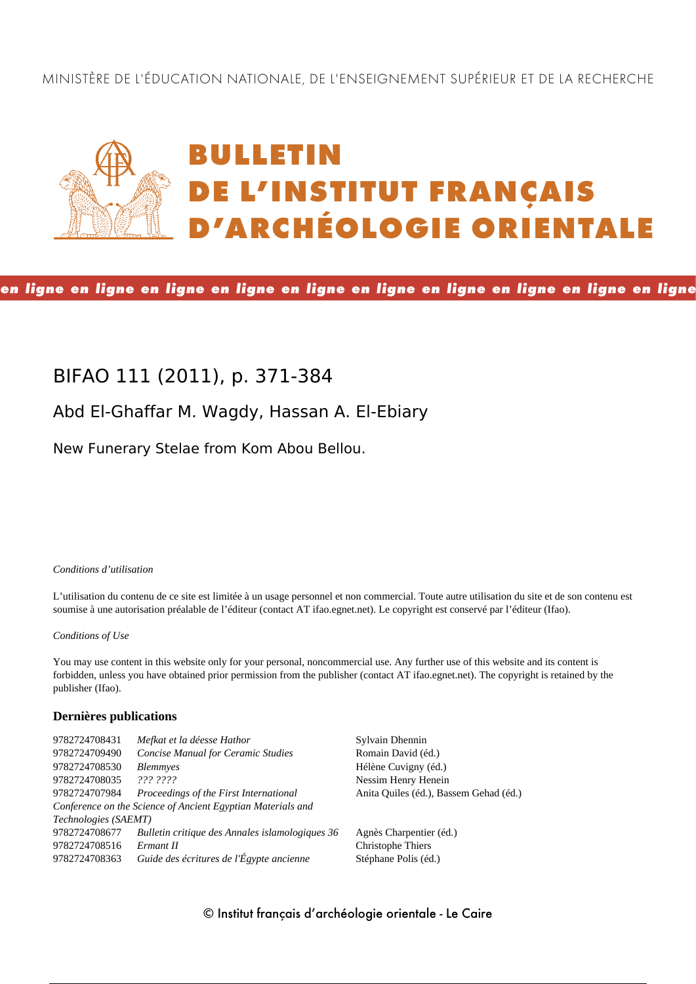MINISTÈRE DE L'ÉDUCATION NATIONALE, DE L'ENSEIGNEMENT SUPÉRIEUR ET DE LA RECHERCHE

# **BULLETIN DE L'INSTITUT FRANÇAIS D'ARCHÉOLOGIE ORIENTALE**

**en ligne en ligne en ligne en ligne en ligne en ligne en ligne en ligne en ligne en ligne**

# **BIFAO 111 (2011), p. 371-384**

# **Abd El-Ghaffar M. Wagdy, Hassan A. El-Ebiary**

New Funerary Stelae from Kom Abou Bellou.

*Conditions d'utilisation*

L'utilisation du contenu de ce site est limitée à un usage personnel et non commercial. Toute autre utilisation du site et de son contenu est soumise à une autorisation préalable de l'éditeur (contact AT ifao.egnet.net). Le copyright est conservé par l'éditeur (Ifao).

#### *Conditions of Use*

You may use content in this website only for your personal, noncommercial use. Any further use of this website and its content is forbidden, unless you have obtained prior permission from the publisher (contact AT ifao.egnet.net). The copyright is retained by the publisher (Ifao).

# **Dernières publications**

| 9782724708431        | Mefkat et la déesse Hathor                                  | Sylvain Dhennin                        |
|----------------------|-------------------------------------------------------------|----------------------------------------|
| 9782724709490        | <b>Concise Manual for Ceramic Studies</b>                   | Romain David (éd.)                     |
| 9782724708530        | <b>Blemmyes</b>                                             | Hélène Cuvigny (éd.)                   |
| 9782724708035        | 222.2222                                                    | Nessim Henry Henein                    |
| 9782724707984        | Proceedings of the First International                      | Anita Quiles (éd.), Bassem Gehad (éd.) |
|                      | Conference on the Science of Ancient Egyptian Materials and |                                        |
| Technologies (SAEMT) |                                                             |                                        |
| 9782724708677        | Bulletin critique des Annales islamologiques 36             | Agnès Charpentier (éd.)                |
| 9782724708516        | Ermant II                                                   | <b>Christophe Thiers</b>               |
| 9782724708363        | Guide des écritures de l'Égypte ancienne                    | Stéphane Polis (éd.)                   |
|                      |                                                             |                                        |

© Institut français d'archéologie orientale - Le Caire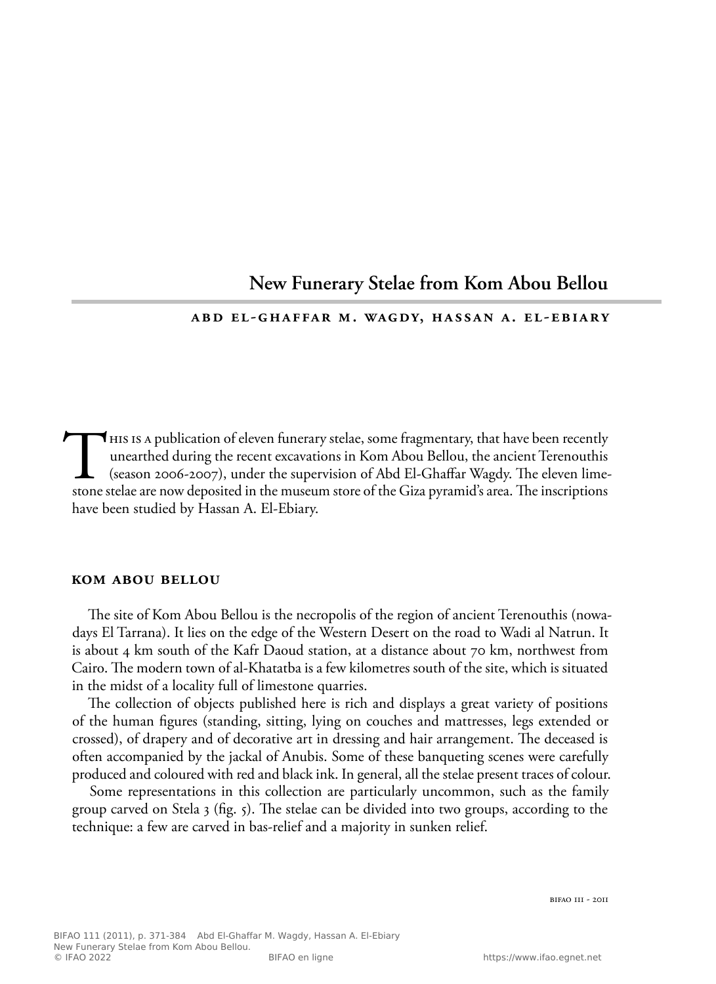# **New Funerary Stelae from Kom Abou Bellou**

#### **abd el-ghaffar m. wagdy, hassan a. el-ebiary**

This is a publication of eleven funerary stelae, some fragmentary, that have been recently unearthed during the recent excavations in Kom Abou Bellou, the ancient Terenouthis (season 2006-2007), under the supervision of Ab unearthed during the recent excavations in Kom Abou Bellou, the ancient Terenouthis (season 2006-2007), under the supervision of Abd El-Ghaffar Wagdy. The eleven limestone stelae are now deposited in the museum store of the Giza pyramid's area. The inscriptions have been studied by Hassan A. El-Ebiary.

#### **kom abou bellou**

The site of Kom Abou Bellou is the necropolis of the region of ancient Terenouthis (nowadays El Tarrana). It lies on the edge of the Western Desert on the road to Wadi al Natrun. It is about 4 km south of the Kafr Daoud station, at a distance about 70 km, northwest from Cairo. The modern town of al-Khatatba is a few kilometres south of the site, which is situated in the midst of a locality full of limestone quarries.

The collection of objects published here is rich and displays a great variety of positions of the human figures (standing, sitting, lying on couches and mattresses, legs extended or crossed), of drapery and of decorative art in dressing and hair arrangement. The deceased is often accompanied by the jackal of Anubis. Some of these banqueting scenes were carefully produced and coloured with red and black ink. In general, all the stelae present traces of colour.

Some representations in this collection are particularly uncommon, such as the family group carved on Stela 3 (fig. 5). The stelae can be divided into two groups, according to the technique: a few are carved in bas-relief and a majority in sunken relief.

bifao 111 - 2011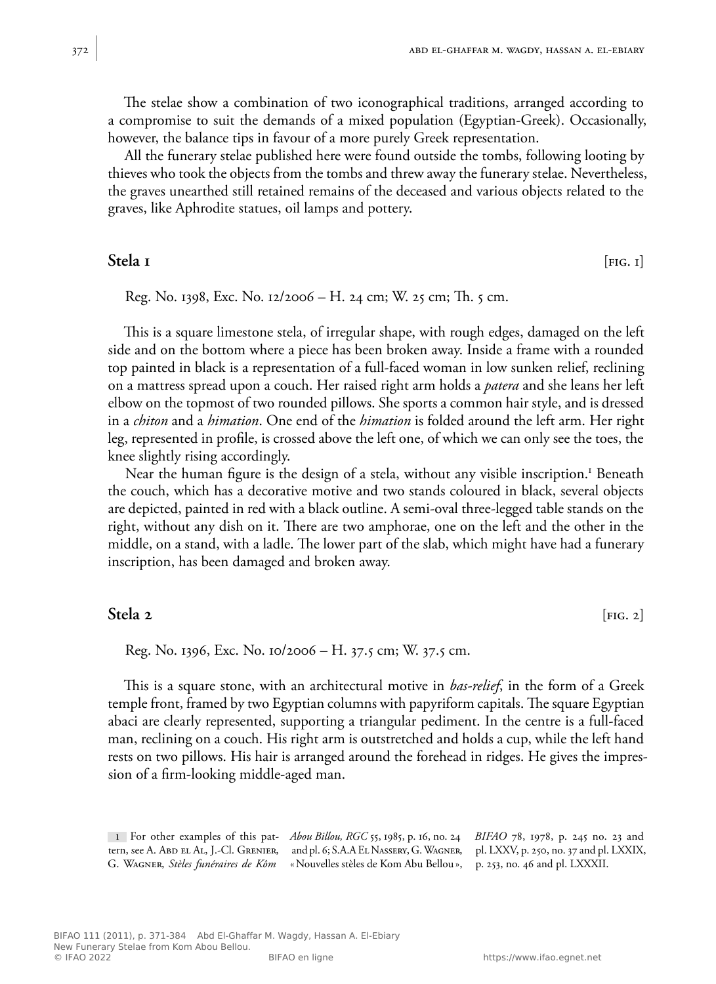The stelae show a combination of two iconographical traditions, arranged according to a compromise to suit the demands of a mixed population (Egyptian-Greek). Occasionally, however, the balance tips in favour of a more purely Greek representation.

All the funerary stelae published here were found outside the tombs, following looting by thieves who took the objects from the tombs and threw away the funerary stelae. Nevertheless, the graves unearthed still retained remains of the deceased and various objects related to the graves, like Aphrodite statues, oil lamps and pottery.

# **Stela 1** [FIG. 1]

Reg. No. 1398, Exc. No. 12/2006 – H. 24 cm; W. 25 cm; Th. 5 cm.

This is a square limestone stela, of irregular shape, with rough edges, damaged on the left side and on the bottom where a piece has been broken away. Inside a frame with a rounded top painted in black is a representation of a full-faced woman in low sunken relief, reclining on a mattress spread upon a couch. Her raised right arm holds a *patera* and she leans her left elbow on the topmost of two rounded pillows. She sports a common hair style, and is dressed in a *chiton* and a *himation*. One end of the *himation* is folded around the left arm. Her right leg, represented in profile, is crossed above the left one, of which we can only see the toes, the knee slightly rising accordingly.

Near the human figure is the design of a stela, without any visible inscription.<sup>1</sup> Beneath the couch, which has a decorative motive and two stands coloured in black, several objects are depicted, painted in red with a black outline. A semi-oval three-legged table stands on the right, without any dish on it. There are two amphorae, one on the left and the other in the middle, on a stand, with a ladle. The lower part of the slab, which might have had a funerary inscription, has been damaged and broken away.

# **Stela 2** [FIG. 2]

Reg. No. 1396, Exc. No. 10/2006 **–** H. 37.5 cm; W. 37.5 cm.

This is a square stone, with an architectural motive in *bas-relief*, in the form of a Greek temple front, framed by two Egyptian columns with papyriform capitals. The square Egyptian abaci are clearly represented, supporting a triangular pediment. In the centre is a full-faced man, reclining on a couch. His right arm is outstretched and holds a cup, while the left hand rests on two pillows. His hair is arranged around the forehead in ridges. He gives the impression of a firm-looking middle-aged man.

**1** For other examples of this pat-*Abou Billou, RGC* 55, 1985, p. 16, no. 24 tern, see A. Abd el Al, J.-Cl. Grenier, and pl. 6; S.A.A El Nassery, G. Wagner, pl. LXXV, p. 250, no. 37 and pl. LXXIX, G. Wagner, *Stèles funéraires de Kôm*  «Nouvelles stèles de Kom Abu Bellou», p. 253, no. 46 and pl. LXXXII. *BIFAO* 78, 1978, p. 245 no. 23 and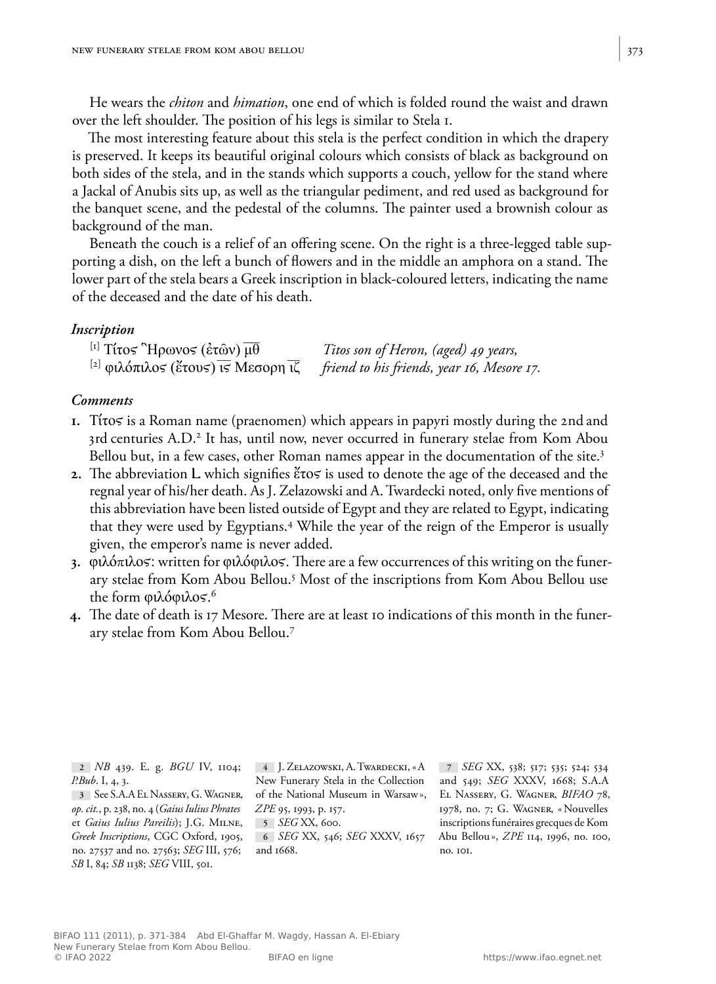He wears the *chiton* and *himation*, one end of which is folded round the waist and drawn over the left shoulder. The position of his legs is similar to Stela 1.

The most interesting feature about this stela is the perfect condition in which the drapery is preserved. It keeps its beautiful original colours which consists of black as background on both sides of the stela, and in the stands which supports a couch, yellow for the stand where a Jackal of Anubis sits up, as well as the triangular pediment, and red used as background for the banquet scene, and the pedestal of the columns. The painter used a brownish colour as background of the man.

Beneath the couch is a relief of an offering scene. On the right is a three-legged table supporting a dish, on the left a bunch of flowers and in the middle an amphora on a stand. The lower part of the stela bears a Greek inscription in black-coloured letters, indicating the name of the deceased and the date of his death.

#### *Inscription*

| <sup>[1]</sup> Τίτος "Ηρωνος (έτῶν) μθ        | Titos son of Heron, (aged) 49 years,       |
|-----------------------------------------------|--------------------------------------------|
| <sup>[2]</sup> φιλόπιλος (έτους) τς Μεσορη τζ | friend to his friends, year 16, Mesore 17. |

#### *Comments*

- **1.** Τίτος is a Roman name (praenomen) which appears in papyri mostly during the 2nd and 3rd centuries A.D.<sup>2</sup> It has, until now, never occurred in funerary stelae from Kom Abou Bellou but, in a few cases, other Roman names appear in the documentation of the site.<sup>3</sup>
- **2.** The abbreviation L which signifies έτος is used to denote the age of the deceased and the regnal year of his/her death. As J. Zelazowski and A.Twardecki noted, only five mentions of this abbreviation have been listed outside of Egypt and they are related to Egypt, indicating that they were used by Egyptians.<sup>4</sup> While the year of the reign of the Emperor is usually given, the emperor's name is never added.
- 3. φιλόπιλος: written for φιλόφιλος. There are a few occurrences of this writing on the funerary stelae from Kom Abou Bellou.<sup>5</sup> Most of the inscriptions from Kom Abou Bellou use the form φιλόφιλος.<sup>6</sup>
- **4.** The date of death is 17 Mesore. There are at least 10 indications of this month in the funerary stelae from Kom Abou Bellou.<sup>7</sup>

**2** *NB* 439. E. g. *BGU* IV, 1104; *P.Bub*. I, 4, 3.

*op.cit.*, p. 238, no. 4 (*Gaius Iulius Phrates* et *Gaius Iulius Pareilis*); J.G. Milne, **5** *SEG* XX, 600. no. 27537 and no. 27563; *SEG* III, 576; and 1668. *SB* I, 84; *SB* 1138; *SEG* VIII, 501.

**3** See S.A.A El Nassery, G. Wagner, of the National Museum in Warsaw», *Greek Inscriptions*, CGC Oxford, 1905, **6** *SEG* XX, 546; *SEG* XXXV, 1657 **4** J. Zelazowski, A.Twardecki, «A New Funerary Stela in the Collection *ZPE* 95, 1993, p. 157.

**7** *SEG* XX, 538; 517; 535; 524; 534 and 549; *SEG* XXXV, 1668; S.A.A El Nassery, G. Wagner, *BIFAO* 78, 1978, no. 7; G. Wagner, «Nouvelles inscriptions funéraires grecques de Kom Abu Bellou», *ZPE* 114, 1996, no. 100, no. 101.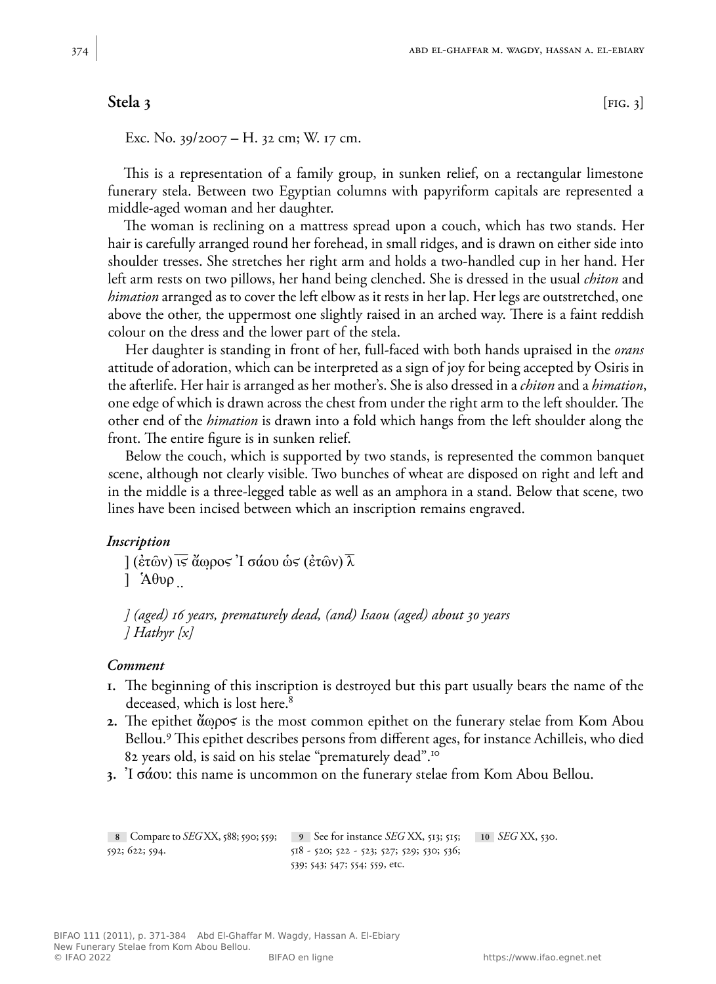# **Stela 3** [FIG. 3]

Exc. No. 39/2007 **–** H. 32 cm; W. 17 cm.

This is a representation of a family group, in sunken relief, on a rectangular limestone funerary stela. Between two Egyptian columns with papyriform capitals are represented a middle-aged woman and her daughter.

The woman is reclining on a mattress spread upon a couch, which has two stands. Her hair is carefully arranged round her forehead, in small ridges, and is drawn on either side into shoulder tresses. She stretches her right arm and holds a two-handled cup in her hand. Her left arm rests on two pillows, her hand being clenched. She is dressed in the usual *chiton* and *himation* arranged as to cover the left elbow as it rests in her lap. Her legs are outstretched, one above the other, the uppermost one slightly raised in an arched way. There is a faint reddish colour on the dress and the lower part of the stela.

Her daughter is standing in front of her, full-faced with both hands upraised in the *orans* attitude of adoration, which can be interpreted as a sign of joy for being accepted by Osiris in the afterlife. Her hair is arranged as her mother's. She is also dressed in a *chiton* and a *himation*, one edge of which is drawn across the chest from under the right arm to the left shoulder. The other end of the *himation* is drawn into a fold which hangs from the left shoulder along the front. The entire figure is in sunken relief.

Below the couch, which is supported by two stands, is represented the common banquet scene, although not clearly visible. Two bunches of wheat are disposed on right and left and in the middle is a three-legged table as well as an amphora in a stand. Below that scene, two lines have been incised between which an inscription remains engraved.

### *Inscription*

 $\frac{1}{\sqrt{\epsilon}}$  (επών)  $\frac{1}{\sqrt{\epsilon}}$  άωρος 'I σάου ως (επών)  $\frac{1}{\sqrt{\epsilon}}$  $\lambda$ θυρ.

*] (aged) 16 years, prematurely dead, (and) Isaou (aged) about 30 years ] Hathyr [x]* 

#### *Comment*

- **1.** The beginning of this inscription is destroyed but this part usually bears the name of the deceased, which is lost here.<sup>8</sup>
- **2.** The epithet ἄωρος is the most common epithet on the funerary stelae from Kom Abou Bellou.9 This epithet describes persons from different ages, for instance Achilleis, who died 82 years old, is said on his stelae "prematurely dead".<sup>10</sup>
- **3.** Ἰ σάου: this name is uncommon on the funerary stelae from Kom Abou Bellou.

| 8 Compare to $SEGXX$ , 588; 590; 559; | 9 See for instance <i>SEG</i> XX, 513; 515;                 | 10 <i>SEG</i> XX, 530. |
|---------------------------------------|-------------------------------------------------------------|------------------------|
| 592; 622; 594.                        | $518 - 520$ ; $522 - 523$ ; $527$ ; $529$ ; $530$ ; $536$ ; |                        |
|                                       | 539; 543; 547; 554; 559, etc.                               |                        |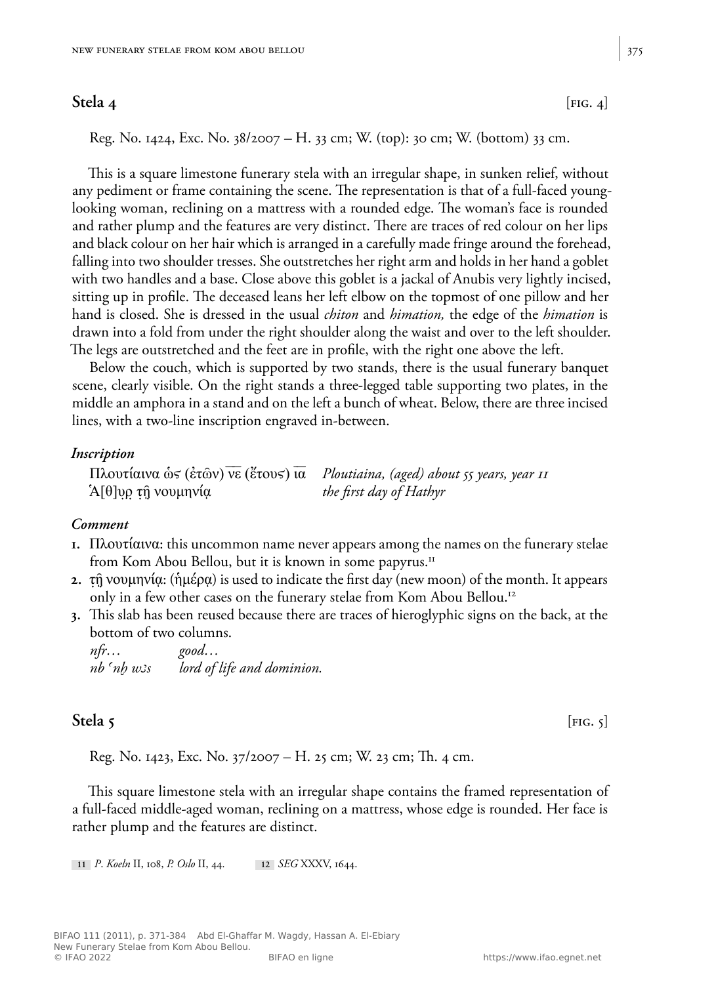**Stela 4** [FIG. 4]

Reg. No. 1424, Exc. No. 38/2007 *–* H. 33 cm; W. (top): 30 cm; W. (bottom) 33 cm.

This is a square limestone funerary stela with an irregular shape, in sunken relief, without any pediment or frame containing the scene. The representation is that of a full-faced younglooking woman, reclining on a mattress with a rounded edge. The woman's face is rounded and rather plump and the features are very distinct. There are traces of red colour on her lips and black colour on her hair which is arranged in a carefully made fringe around the forehead, falling into two shoulder tresses. She outstretches her right arm and holds in her hand a goblet with two handles and a base. Close above this goblet is a jackal of Anubis very lightly incised, sitting up in profile. The deceased leans her left elbow on the topmost of one pillow and her hand is closed. She is dressed in the usual *chiton* and *himation,* the edge of the *himation* is drawn into a fold from under the right shoulder along the waist and over to the left shoulder. The legs are outstretched and the feet are in profile, with the right one above the left.

Below the couch, which is supported by two stands, there is the usual funerary banquet scene, clearly visible. On the right stands a three-legged table supporting two plates, in the middle an amphora in a stand and on the left a bunch of wheat. Below, there are three incised lines, with a two-line inscription engraved in-between.

#### *Inscription*

Πλουτίαινα ὡϛ (ἐτῶν) νε (ἔτουϛ) ια *Ploutiaina, (aged) about 55 years, year 11* Ἁ[θ]υρ τῇ νουμηνίᾳ *the first day of Hathyr*

### *Comment*

- **1.** Πλουτίαινα: this uncommon name never appears among the names on the funerary stelae from Kom Abou Bellou, but it is known in some papyrus.11
- **2.** τῇ νουμηνίᾳ: (ἡμέρᾳ) is used to indicate the first day (new moon) of the month. It appears only in a few other cases on the funerary stelae from Kom Abou Bellou.<sup>12</sup>
- **3.** This slab has been reused because there are traces of hieroglyphic signs on the back, at the bottom of two columns.

| nfr                      | good                       |
|--------------------------|----------------------------|
| $nb$ $^{\prime}nb$ $w3s$ | lord of life and dominion. |

# **Stela 5** *IFIG. 5*

Reg. No. 1423, Exc. No. 37/2007 – H. 25 cm; W. 23 cm; Th. 4 cm.

This square limestone stela with an irregular shape contains the framed representation of a full-faced middle-aged woman, reclining on a mattress, whose edge is rounded. Her face is rather plump and the features are distinct.

**11** *P*. *Koeln* II, 108, *P. Oslo* II, 44. **12** *SEG* XXXV, 1644.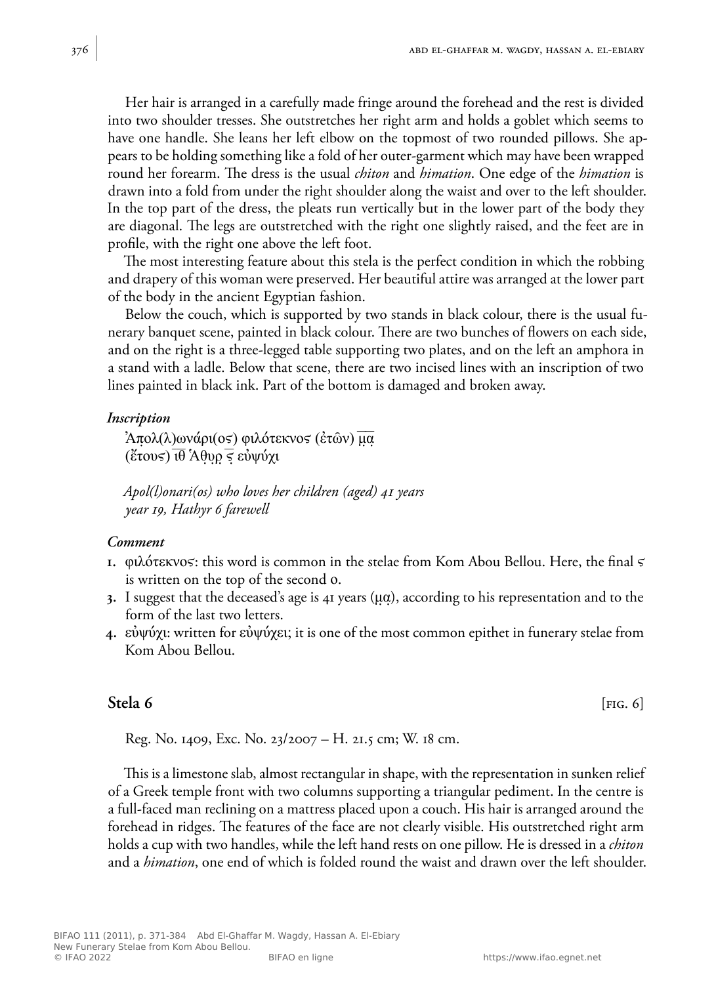Her hair is arranged in a carefully made fringe around the forehead and the rest is divided into two shoulder tresses. She outstretches her right arm and holds a goblet which seems to have one handle. She leans her left elbow on the topmost of two rounded pillows. She appears to be holding something like a fold of her outer-garment which may have been wrapped round her forearm. The dress is the usual *chiton* and *himation*. One edge of the *himation* is drawn into a fold from under the right shoulder along the waist and over to the left shoulder. In the top part of the dress, the pleats run vertically but in the lower part of the body they are diagonal. The legs are outstretched with the right one slightly raised, and the feet are in profile, with the right one above the left foot.

The most interesting feature about this stela is the perfect condition in which the robbing and drapery of this woman were preserved. Her beautiful attire was arranged at the lower part of the body in the ancient Egyptian fashion.

Below the couch, which is supported by two stands in black colour, there is the usual funerary banquet scene, painted in black colour. There are two bunches of flowers on each side, and on the right is a three-legged table supporting two plates, and on the left an amphora in a stand with a ladle. Below that scene, there are two incised lines with an inscription of two lines painted in black ink. Part of the bottom is damaged and broken away.

# *Inscription*

Άπολ(λ)ωνάρι(ος) φιλότεκνος (ἐτῶν) μα (ἔτους)  $\overline{\mathfrak{u}\theta}$  Άθυρ  $\overline{\mathfrak{s}}$  εὐψύχι

*Apol(l)onari(os) who loves her children (aged) 41 years year 19, Hathyr 6 farewell*

# *Comment*

- **1.** φιλότεκνος: this word is common in the stelae from Kom Abou Bellou. Here, the final  $\varsigma$ is written on the top of the second ο.
- **3.** I suggest that the deceased's age is 41 years (μα), according to his representation and to the form of the last two letters.
- **4.** εὐψύχι: written for εὐψύχει; it is one of the most common epithet in funerary stelae from Kom Abou Bellou.

# **Stela 6** [FIG. 6]

Reg. No. 1409, Exc. No. 23/2007 – H. 21.5 cm; W. 18 cm.

This is a limestone slab, almost rectangular in shape, with the representation in sunken relief of a Greek temple front with two columns supporting a triangular pediment. In the centre is a full-faced man reclining on a mattress placed upon a couch. His hair is arranged around the forehead in ridges. The features of the face are not clearly visible. His outstretched right arm holds a cup with two handles, while the left hand rests on one pillow. He is dressed in a *chiton* and a *himation*, one end of which is folded round the waist and drawn over the left shoulder.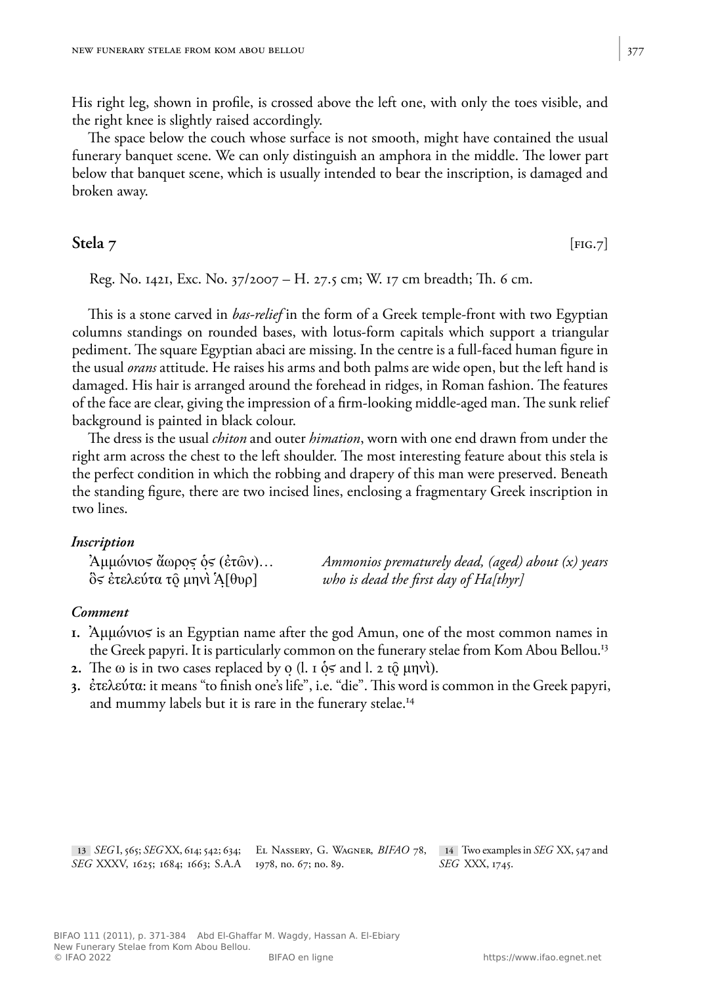His right leg, shown in profile, is crossed above the left one, with only the toes visible, and the right knee is slightly raised accordingly.

The space below the couch whose surface is not smooth, might have contained the usual funerary banquet scene. We can only distinguish an amphora in the middle. The lower part below that banquet scene, which is usually intended to bear the inscription, is damaged and broken away.

**Stela** 7 *IPIG.7* 

Reg. No. 1421, Exc. No. 37/2007 – H. 27.5 cm; W. 17 cm breadth; Th. 6 cm.

This is a stone carved in *bas-relief* in the form of a Greek temple-front with two Egyptian columns standings on rounded bases, with lotus-form capitals which support a triangular pediment. The square Egyptian abaci are missing. In the centre is a full-faced human figure in the usual *orans* attitude. He raises his arms and both palms are wide open, but the left hand is damaged. His hair is arranged around the forehead in ridges, in Roman fashion. The features of the face are clear, giving the impression of a firm-looking middle-aged man. The sunk relief background is painted in black colour.

The dress is the usual *chiton* and outer *himation*, worn with one end drawn from under the right arm across the chest to the left shoulder. The most interesting feature about this stela is the perfect condition in which the robbing and drapery of this man were preserved. Beneath the standing figure, there are two incised lines, enclosing a fragmentary Greek inscription in two lines.

### *Inscription*

Ἀμμώνιοϛ ἄωροϛ ὁϛ (ἐτῶν)… *Ammonios prematurely dead, (aged) about (x) years*  $\delta$ *ς έτελεύτα το μην*ί Ά[θυρ] *who is dead the first day of Ha[thyr]* 

# *Comment*

- **1.** Ἀμμώνιος is an Egyptian name after the god Amun, one of the most common names in the Greek papyri. It is particularly common on the funerary stelae from Kom Abou Bellou.<sup>13</sup>
- **2.** The  $\omega$  is in two cases replaced by  $\alpha$  (l. 1  $\delta$  s and l. 2 to  $\mu$ nvt).
- **3.** ἐτελεύτα: it means "to finish one's life", i.e. "die". This word is common in the Greek papyri, and mummy labels but it is rare in the funerary stelae.<sup>14</sup>

**13** *SEG* I, 565; *SEG* XX, 614; 542; 634; El Nassery, G. Wagner, *BIFAO* 78, **14** Two examples in *SEG* XX, 547 and *SEG* XXXV, 1625; 1684; 1663; S.A.A 1978, no. 67; no. 89. *SEG* XXX, 1745.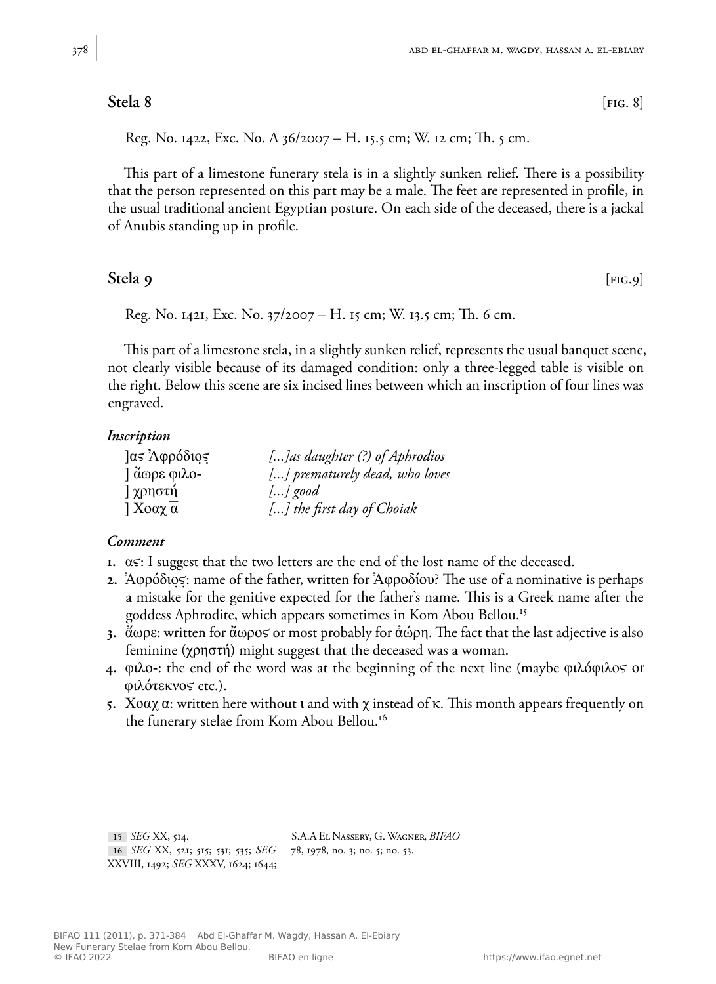# **Stela 8** [FIG. 8]

Reg. No. 1422, Exc. No. A 36/2007 – H. 15.5 cm; W. 12 cm; Th. 5 cm.

This part of a limestone funerary stela is in a slightly sunken relief. There is a possibility that the person represented on this part may be a male. The feet are represented in profile, in the usual traditional ancient Egyptian posture. On each side of the deceased, there is a jackal of Anubis standing up in profile.

# **Stela 9** [FIG.9]

Reg. No. 1421, Exc. No. 37/2007 – H. 15 cm; W. 13.5 cm; Th. 6 cm.

This part of a limestone stela, in a slightly sunken relief, represents the usual banquet scene, not clearly visible because of its damaged condition: only a three-legged table is visible on the right. Below this scene are six incised lines between which an inscription of four lines was engraved.

# *Inscription*

| <i>ας</i> Αφρόδιος       | [] as daughter (?) of Aphrodios |
|--------------------------|---------------------------------|
| $\frac{3}{2}$ άωρε φιλο- | [] prematurely dead, who loves  |
| ] χρηστή                 | $\left  \ldots \right $ good    |
| $\int X$ οαχ α           | [] the first day of Choiak      |

### *Comment*

- **1.**  $\alpha$ s: I suggest that the two letters are the end of the lost name of the deceased.
- **2.** Ἀφρόδιος: name of the father, written for Ἀφροδίου? The use of a nominative is perhaps a mistake for the genitive expected for the father's name. This is a Greek name after the goddess Aphrodite, which appears sometimes in Kom Abou Bellou.<sup>15</sup>
- **3.** ἄωρε: written for ἄωροϛ or most probably for ἀώρη. The fact that the last adjective is also feminine (χρηστή) might suggest that the deceased was a woman.
- **4.** φιλο-: the end of the word was at the beginning of the next line (maybe φιλόφιλος or φιλότεκνοϛ etc.).
- **5.** Χοαχ α: written here without ι and with χ instead of κ. This month appears frequently on the funerary stelae from Kom Abou Bellou.<sup>16</sup>

**15** *SEG* XX, 514. **16** *SEG* XX, 521; 515; 531; 535; *SEG*  XXVIII, 1492; *SEG* XXXV, 1624; 1644; S.A.A El Nassery, G. Wagner, *BIFAO*  78, 1978, no. 3; no. 5; no. 53.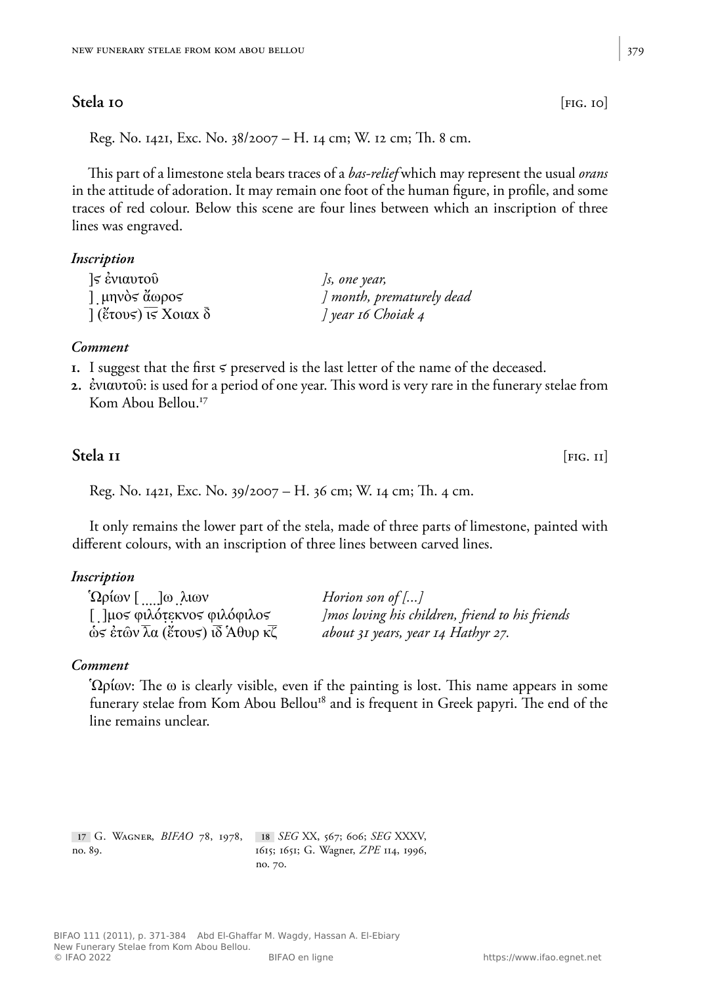# Stela 10 [FIG. 10]

Reg. No. 1421, Exc. No. 38/2007 – H. 14 cm; W. 12 cm; Th. 8 cm.

This part of a limestone stela bears traces of a *bas-relief* which may represent the usual *orans* in the attitude of adoration. It may remain one foot of the human figure, in profile, and some traces of red colour. Below this scene are four lines between which an inscription of three lines was engraved.

*]* month, prematurely dead

#### *Inscription*

| $\leq$ ενιαυτού           | $\int s$ , one year, |
|---------------------------|----------------------|
| l μηνὸς ἄωρος             | ] month, prematur    |
| $\int$ (ἔτους) τς Χοιαχ δ | ] year 16 Choiak 4   |

#### *Comment*

- **1.** I suggest that the first  $\varsigma$  preserved is the last letter of the name of the deceased.
- **2.** ἐνιαυτοῦ: is used for a period of one year. This word is very rare in the funerary stelae from Kom Abou Bellou.<sup>17</sup>

# **Stela 11** [FIG. 11] [FIG. 11]

Reg. No. 1421, Exc. No. 39/2007 – H. 36 cm; W. 14 cm; Th. 4 cm.

It only remains the lower part of the stela, made of three parts of limestone, painted with different colours, with an inscription of three lines between carved lines.

#### *Inscription*

| $\Omega$ ρίων [ ]ω λιων                     | Horion son of $[]$                              |
|---------------------------------------------|-------------------------------------------------|
| [ ]μος φιλότεκνος φιλόφιλος                 | Imos loving his children, friend to his friends |
| $\hat{\omega}$ ς έτῶν λα (ἔτους) ιδ Άθυρ κζ | about 31 years, year 14 Hathyr 27.              |

# *Comment*

 $\Omega$ ρίων: The ω is clearly visible, even if the painting is lost. This name appears in some funerary stelae from Kom Abou Bellou<sup>18</sup> and is frequent in Greek papyri. The end of the line remains unclear.

**17** G. Wagner, *BIFAO* 78, 1978, **18** *SEG* XX, 567; 606; *SEG* XXXV, no. 89. 1615; 1651; G. Wagner, *ZPE* 114, 1996, no. 70.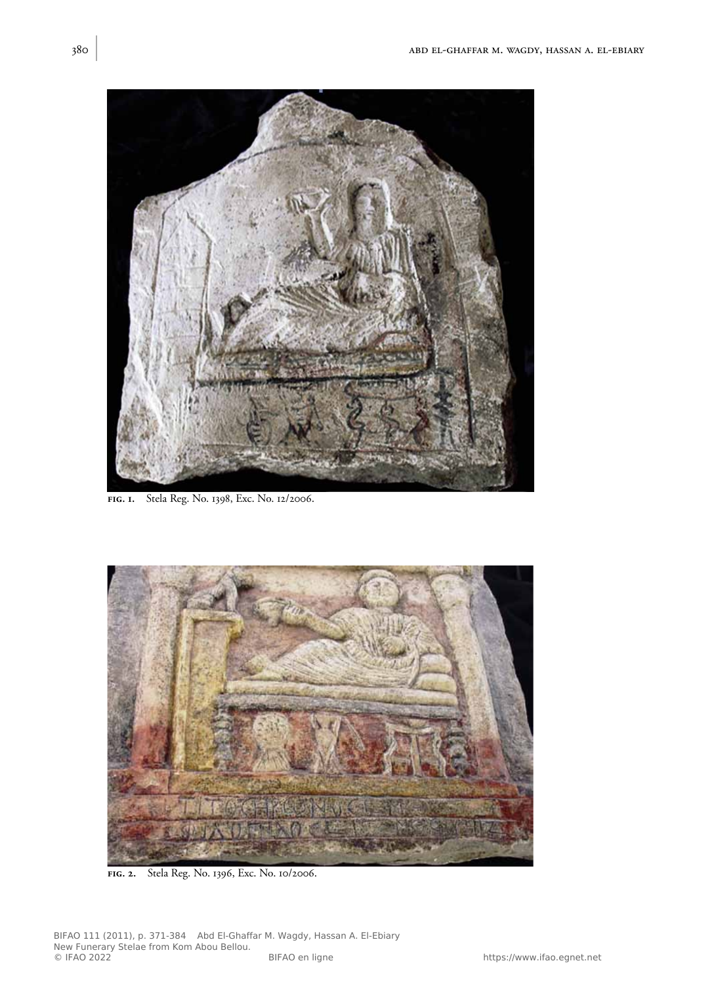

**fig. 1.** Stela Reg. No. 1398, Exc. No. 12/2006.



**fig. 2.** Stela Reg. No. 1396, Exc. No. 10/2006.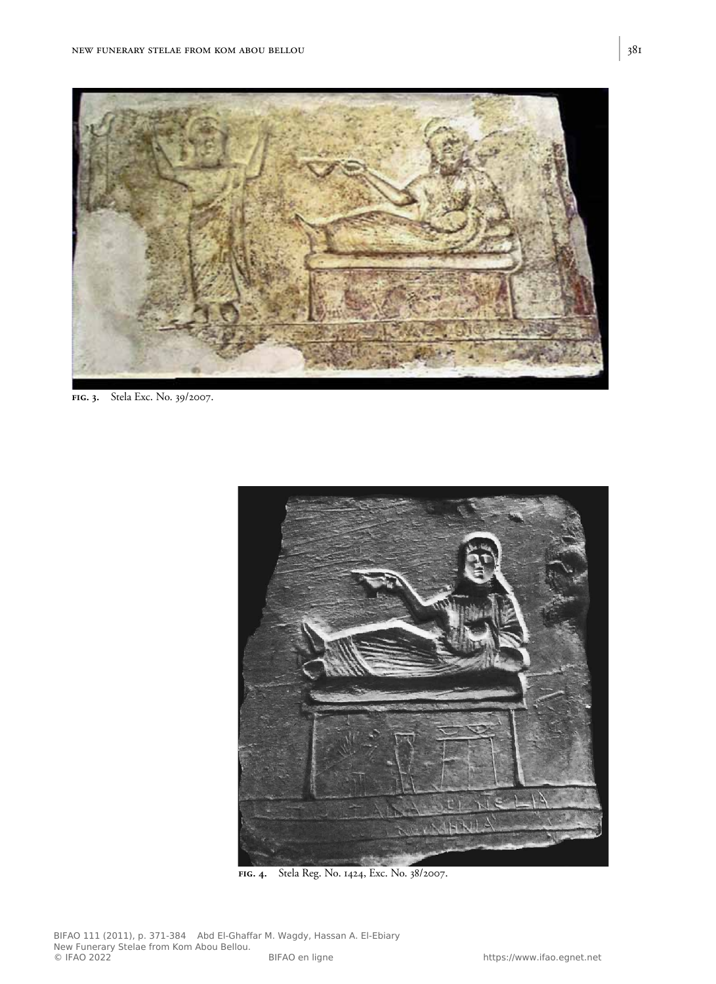

**fig. 3.** Stela Exc. No. 39/2007.



**fig. 4.** Stela Reg. No. 1424, Exc. No. 38/2007.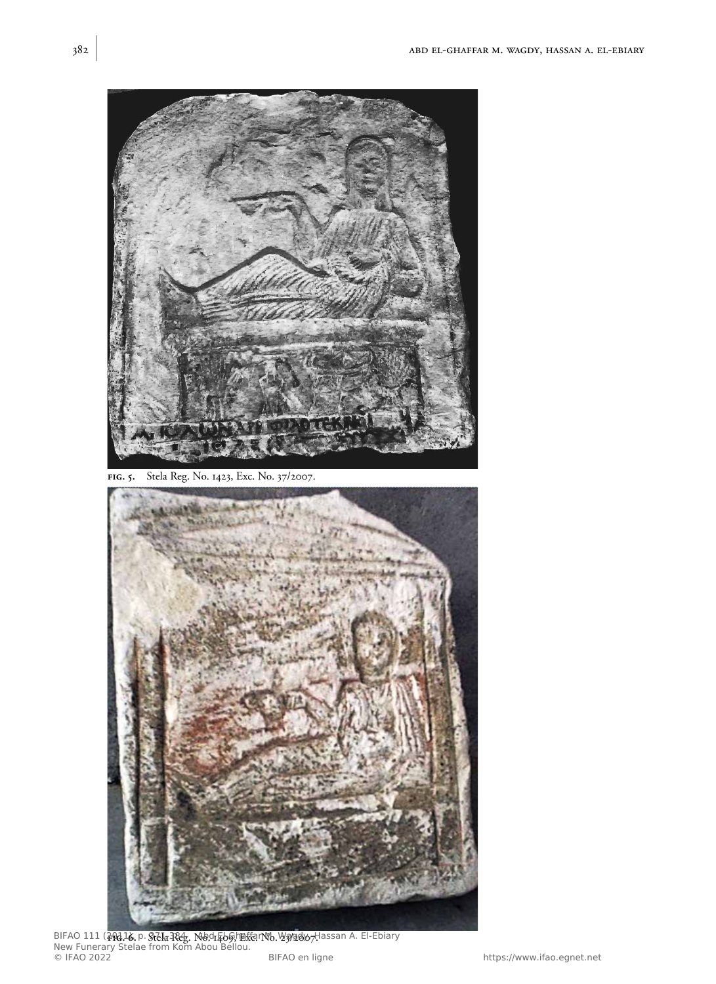

**fig. 5.** Stela Reg. No. 1423, Exc. No. 37/2007.



BIFAO 111 (<del>201</del>16, p. §<del>iela Rég</del>. No. 1569;h联erNo. ½�����/Hassan A. El-Ebiary New Funerary Stelae from Kom Abou Bellou. © IFAO 2022 BIFAO en ligne https://www.ifao.egnet.net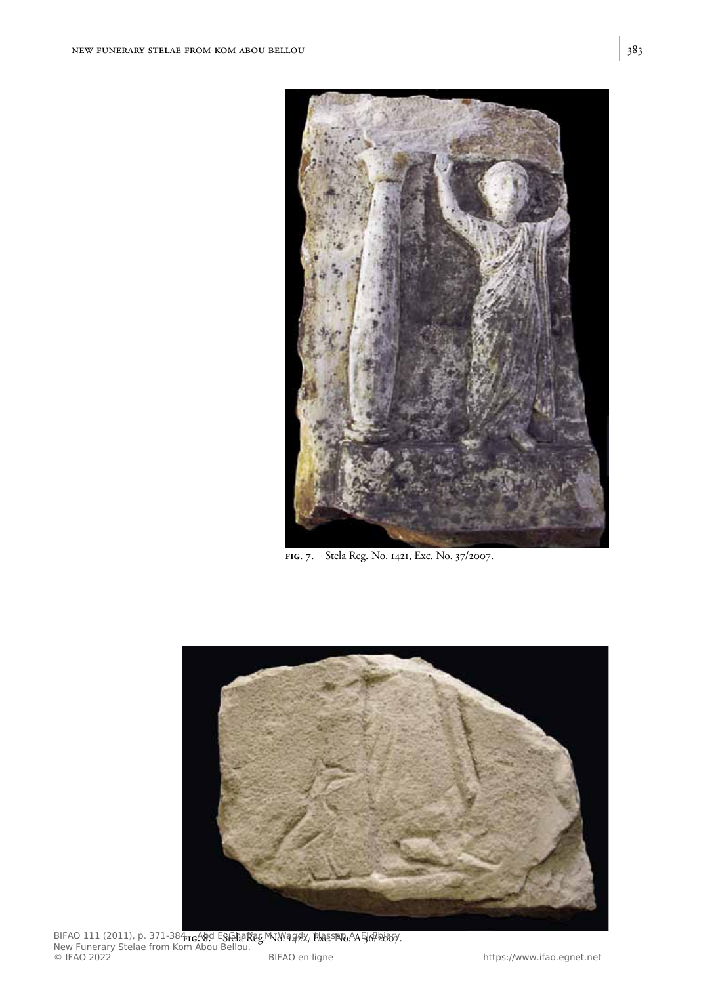

**fig. 7.** Stela Reg. No. 1421, Exc. No. 37/2007.



BIFAO 111 (2011), p. 371-384 **ng Ab**d Este**hafteg MW. aggly, Exes No. AA 567 booy.**<br>. New Funerary Stelae from Kom Abou Bellou. © IFAO 2022 BIFAO en ligne https://www.ifao.egnet.net